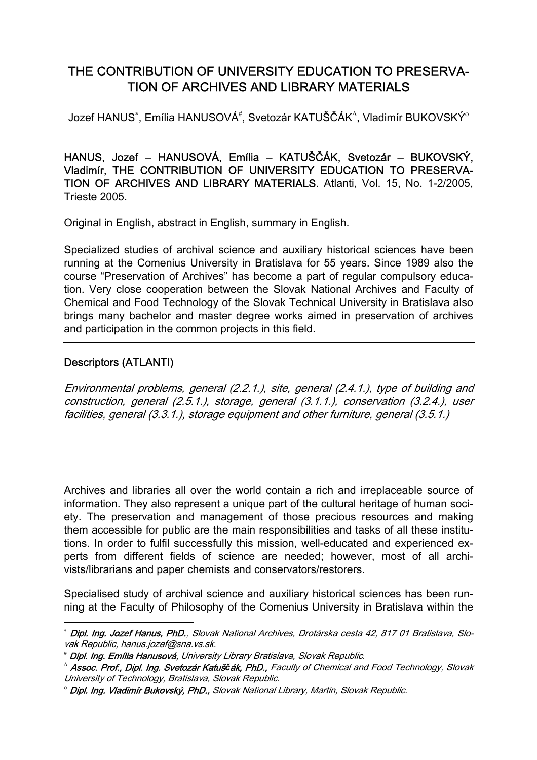# THE CONTRIBUTION OF UNIVERSITY EDUCATION TO PRESERVA-TION OF ARCHIVES AND LIBRARY MATERIALS

Jozef HANUS $^*$ , Emília HANUSOVÁ $^\#$ , Svetozár KATUŠČÁK $^\Delta$ , Vladimír BUKOVSKÝ $^\circ$ 

HANUS, Jozef – HANUSOVÁ, Emília – KATUŠČÁK, Svetozár – BUKOVSKÝ, Vladimír, THE CONTRIBUTION OF UNIVERSITY EDUCATION TO PRESERVA-TION OF ARCHIVES AND LIBRARY MATERIALS. Atlanti, Vol. 15, No. 1-2/2005, Trieste 2005.

Original in English, abstract in English, summary in English.

Specialized studies of archival science and auxiliary historical sciences have been running at the Comenius University in Bratislava for 55 years. Since 1989 also the course "Preservation of Archives" has become a part of regular compulsory education. Very close cooperation between the Slovak National Archives and Faculty of Chemical and Food Technology of the Slovak Technical University in Bratislava also brings many bachelor and master degree works aimed in preservation of archives and participation in the common projects in this field.

### Descriptors (ATLANTI)

 $\overline{a}$ 

Environmental problems, general (2.2.1.), site, general (2.4.1.), type of building and construction, general (2.5.1.), storage, general (3.1.1.), conservation (3.2.4.), user facilities, general (3.3.1.), storage equipment and other furniture, general (3.5.1.)

Archives and libraries all over the world contain a rich and irreplaceable source of information. They also represent a unique part of the cultural heritage of human society. The preservation and management of those precious resources and making them accessible for public are the main responsibilities and tasks of all these institutions. In order to fulfil successfully this mission, well-educated and experienced experts from different fields of science are needed; however, most of all archivists/librarians and paper chemists and conservators/restorers.

Specialised study of archival science and auxiliary historical sciences has been running at the Faculty of Philosophy of the Comenius University in Bratislava within the

<sup>∗</sup> Dipl. Ing. Jozef Hanus, PhD., Slovak National Archives, Drotárska cesta 42, 817 01 Bratislava, Slovak Republic, hanus.jozef@sna.vs.sk.

<sup>#</sup> Dipl. Ing. Emília Hanusová, University Library Bratislava, Slovak Republic.

<sup>∆</sup> Assoc. Prof., Dipl. Ing. Svetozár Katuš*č*ák, PhD., Faculty of Chemical and Food Technology, Slovak University of Technology, Bratislava, Slovak Republic.

<sup>ο</sup> Dipl. Ing. Vladimír Bukovský, PhD., Slovak National Library, Martin, Slovak Republic.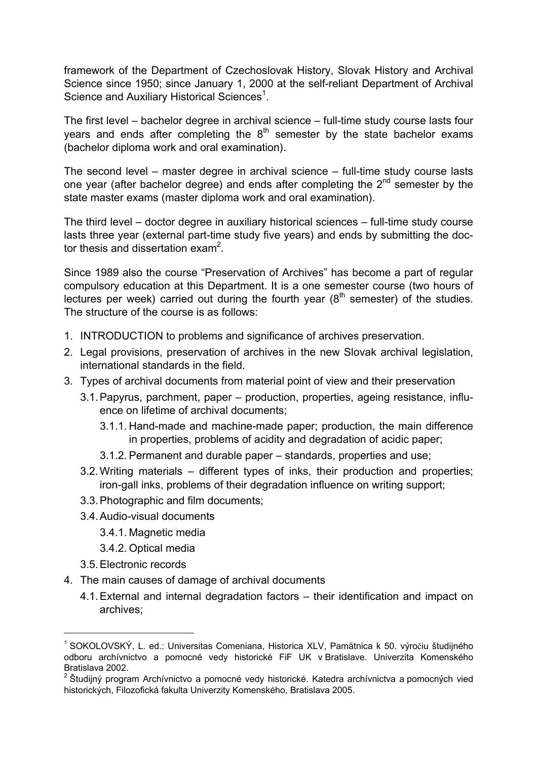framework of the Department of Czechoslovak History, Slovak History and Archival Science since 1950; since January 1, 2000 at the self-reliant Department of Archival Science and Auxiliary Historical Sciences<sup>1</sup>.

The first level – bachelor degree in archival science – full-time study course lasts four years and ends after completing the  $8<sup>th</sup>$  semester by the state bachelor exams (bachelor diploma work and oral examination).

The second level – master degree in archival science – full-time study course lasts one year (after bachelor degree) and ends after completing the 2<sup>nd</sup> semester by the state master exams (master diploma work and oral examination).

The third level – doctor degree in auxiliary historical sciences – full-time study course lasts three year (external part-time study five years) and ends by submitting the doctor thesis and dissertation exam<sup>2</sup>.

Since 1989 also the course "Preservation of Archives" has become a part of regular compulsory education at this Department. It is a one semester course (two hours of lectures per week) carried out during the fourth year  $(8<sup>th</sup>$  semester) of the studies. The structure of the course is as follows:

- 1. INTRODUCTION to problems and significance of archives preservation.
- 2. Legal provisions, preservation of archives in the new Slovak archival legislation, international standards in the field.
- 3. Types of archival documents from material point of view and their preservation
	- 3.1.Papyrus, parchment, paper production, properties, ageing resistance, influence on lifetime of archival documents;
		- 3.1.1. Hand-made and machine-made paper; production, the main difference in properties, problems of acidity and degradation of acidic paper;
		- 3.1.2. Permanent and durable paper standards, properties and use;
	- 3.2.Writing materials different types of inks, their production and properties; iron-gall inks, problems of their degradation influence on writing support;
	- 3.3.Photographic and film documents;
	- 3.4.Audio-visual documents
		- 3.4.1. Magnetic media
		- 3.4.2. Optical media
	- 3.5.Electronic records

 $\overline{a}$ 

- 4. The main causes of damage of archival documents
	- 4.1.External and internal degradation factors their identification and impact on archives;

<sup>&</sup>lt;sup>1</sup> SOKOLOVSKÝ, L. ed.: Universitas Comeniana, Historica XLV, Pamätnica k 50. výročiu študijného odboru archívnictvo a pomocné vedy historické FiF UK v Bratislave. Univerzita Komenského Bratislava 2002.

 $2$  Študijný program Archívnictvo a pomocné vedy historické. Katedra archívnictva a pomocných vied historických, Filozofická fakulta Univerzity Komenského, Bratislava 2005.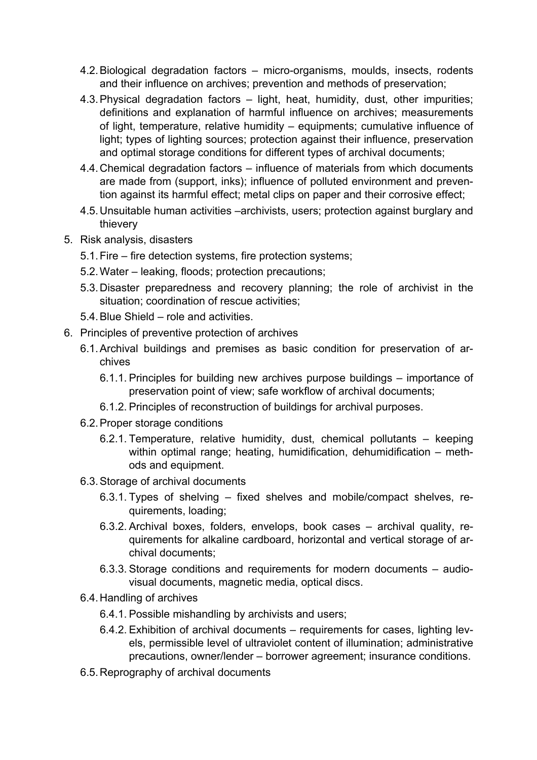- 4.2.Biological degradation factors micro-organisms, moulds, insects, rodents and their influence on archives; prevention and methods of preservation;
- 4.3.Physical degradation factors light, heat, humidity, dust, other impurities; definitions and explanation of harmful influence on archives; measurements of light, temperature, relative humidity – equipments; cumulative influence of light; types of lighting sources; protection against their influence, preservation and optimal storage conditions for different types of archival documents;
- 4.4.Chemical degradation factors influence of materials from which documents are made from (support, inks); influence of polluted environment and prevention against its harmful effect; metal clips on paper and their corrosive effect;
- 4.5.Unsuitable human activities –archivists, users; protection against burglary and thievery
- 5. Risk analysis, disasters
	- 5.1.Fire fire detection systems, fire protection systems;
	- 5.2.Water leaking, floods; protection precautions;
	- 5.3.Disaster preparedness and recovery planning; the role of archivist in the situation; coordination of rescue activities;
	- 5.4.Blue Shield role and activities.
- 6. Principles of preventive protection of archives
	- 6.1.Archival buildings and premises as basic condition for preservation of archives
		- 6.1.1. Principles for building new archives purpose buildings importance of preservation point of view; safe workflow of archival documents;
		- 6.1.2. Principles of reconstruction of buildings for archival purposes.
	- 6.2.Proper storage conditions
		- 6.2.1. Temperature, relative humidity, dust, chemical pollutants keeping within optimal range; heating, humidification, dehumidification – methods and equipment.
	- 6.3.Storage of archival documents
		- 6.3.1. Types of shelving fixed shelves and mobile/compact shelves, requirements, loading;
		- 6.3.2. Archival boxes, folders, envelops, book cases archival quality, requirements for alkaline cardboard, horizontal and vertical storage of archival documents;
		- 6.3.3. Storage conditions and requirements for modern documents audiovisual documents, magnetic media, optical discs.
	- 6.4.Handling of archives
		- 6.4.1. Possible mishandling by archivists and users;
		- 6.4.2. Exhibition of archival documents requirements for cases, lighting levels, permissible level of ultraviolet content of illumination; administrative precautions, owner/lender – borrower agreement; insurance conditions.
	- 6.5.Reprography of archival documents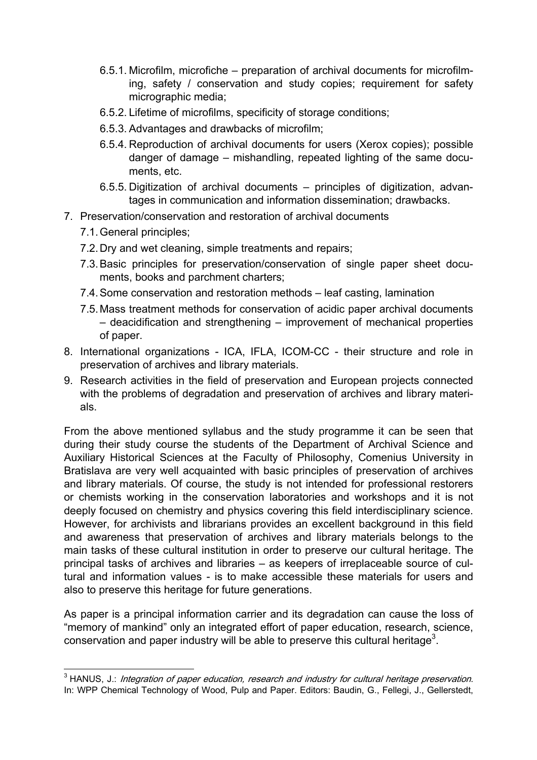- 6.5.1. Microfilm, microfiche preparation of archival documents for microfilming, safety / conservation and study copies; requirement for safety micrographic media;
- 6.5.2. Lifetime of microfilms, specificity of storage conditions;
- 6.5.3. Advantages and drawbacks of microfilm;
- 6.5.4. Reproduction of archival documents for users (Xerox copies); possible danger of damage – mishandling, repeated lighting of the same documents, etc.
- 6.5.5. Digitization of archival documents principles of digitization, advantages in communication and information dissemination; drawbacks.
- 7. Preservation/conservation and restoration of archival documents
	- 7.1.General principles;
	- 7.2.Dry and wet cleaning, simple treatments and repairs;
	- 7.3.Basic principles for preservation/conservation of single paper sheet documents, books and parchment charters;
	- 7.4.Some conservation and restoration methods leaf casting, lamination
	- 7.5.Mass treatment methods for conservation of acidic paper archival documents – deacidification and strengthening – improvement of mechanical properties of paper.
- 8. International organizations ICA, IFLA, ICOM-CC their structure and role in preservation of archives and library materials.
- 9. Research activities in the field of preservation and European projects connected with the problems of degradation and preservation of archives and library materials.

From the above mentioned syllabus and the study programme it can be seen that during their study course the students of the Department of Archival Science and Auxiliary Historical Sciences at the Faculty of Philosophy, Comenius University in Bratislava are very well acquainted with basic principles of preservation of archives and library materials. Of course, the study is not intended for professional restorers or chemists working in the conservation laboratories and workshops and it is not deeply focused on chemistry and physics covering this field interdisciplinary science. However, for archivists and librarians provides an excellent background in this field and awareness that preservation of archives and library materials belongs to the main tasks of these cultural institution in order to preserve our cultural heritage. The principal tasks of archives and libraries – as keepers of irreplaceable source of cultural and information values - is to make accessible these materials for users and also to preserve this heritage for future generations.

As paper is a principal information carrier and its degradation can cause the loss of "memory of mankind" only an integrated effort of paper education, research, science, conservation and paper industry will be able to preserve this cultural heritage<sup>3</sup>.

 3 HANUS, J.: Integration of paper education, research and industry for cultural heritage preservation. In: WPP Chemical Technology of Wood, Pulp and Paper. Editors: Baudin, G., Fellegi, J., Gellerstedt,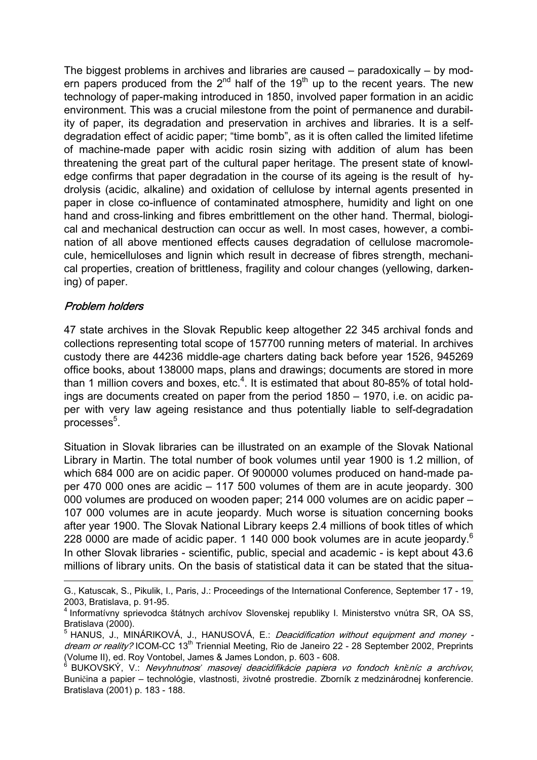The biggest problems in archives and libraries are caused – paradoxically – by modern papers produced from the  $2<sup>nd</sup>$  half of the 19<sup>th</sup> up to the recent years. The new technology of paper-making introduced in 1850, involved paper formation in an acidic environment. This was a crucial milestone from the point of permanence and durability of paper, its degradation and preservation in archives and libraries. It is a selfdegradation effect of acidic paper; "time bomb", as it is often called the limited lifetime of machine-made paper with acidic rosin sizing with addition of alum has been threatening the great part of the cultural paper heritage. The present state of knowledge confirms that paper degradation in the course of its ageing is the result of hydrolysis (acidic, alkaline) and oxidation of cellulose by internal agents presented in paper in close co-influence of contaminated atmosphere, humidity and light on one hand and cross-linking and fibres embrittlement on the other hand. Thermal, biological and mechanical destruction can occur as well. In most cases, however, a combination of all above mentioned effects causes degradation of cellulose macromolecule, hemicelluloses and lignin which result in decrease of fibres strength, mechanical properties, creation of brittleness, fragility and colour changes (yellowing, darkening) of paper.

### Problem holders

 $\overline{a}$ 

47 state archives in the Slovak Republic keep altogether 22 345 archival fonds and collections representing total scope of 157700 running meters of material. In archives custody there are 44236 middle-age charters dating back before year 1526, 945269 office books, about 138000 maps, plans and drawings; documents are stored in more than 1 million covers and boxes, etc.<sup>4</sup>. It is estimated that about 80-85% of total holdings are documents created on paper from the period 1850 – 1970, i.e. on acidic paper with very law ageing resistance and thus potentially liable to self-degradation processes<sup>5</sup>.

Situation in Slovak libraries can be illustrated on an example of the Slovak National Library in Martin. The total number of book volumes until year 1900 is 1.2 million, of which 684 000 are on acidic paper. Of 900000 volumes produced on hand-made paper 470 000 ones are acidic – 117 500 volumes of them are in acute jeopardy. 300 000 volumes are produced on wooden paper; 214 000 volumes are on acidic paper – 107 000 volumes are in acute jeopardy. Much worse is situation concerning books after year 1900. The Slovak National Library keeps 2.4 millions of book titles of which 228 0000 are made of acidic paper. 1 140 000 book volumes are in acute jeopardy.<sup>6</sup> In other Slovak libraries - scientific, public, special and academic - is kept about 43.6 millions of library units. On the basis of statistical data it can be stated that the situa-

G., Katuscak, S., Pikulik, I., Paris, J.: Proceedings of the International Conference, September 17 - 19, 2003, Bratislava, p. 91-95.

<sup>&</sup>lt;sup>4</sup> Informatívny sprievodca štátnych archívov Slovenskej republiky I. Ministerstvo vnútra SR, OA SS, Bratislava (2000).

<sup>&</sup>lt;sup>5</sup> HANUS, J., MINÁRIKOVÁ, J., HANUSOVÁ, E.: *Deacidification without equipment and money* dream or reality? ICOM-CC 13<sup>th</sup> Triennial Meeting, Rio de Janeiro 22 - 28 September 2002, Preprints (Volume II), ed. Roy Vontobel, James & James London, p. 603 - 608.

<sup>6</sup> BUKOVSKÝ, V.: Nevyhnutnos*ť* masovej deacidifikácie papiera vo fondoch kni*ž*níc a archívov, Buničina a papier – technológie, vlastnosti, životné prostredie. Zborník z medzinárodnej konferencie. Bratislava (2001) p. 183 - 188.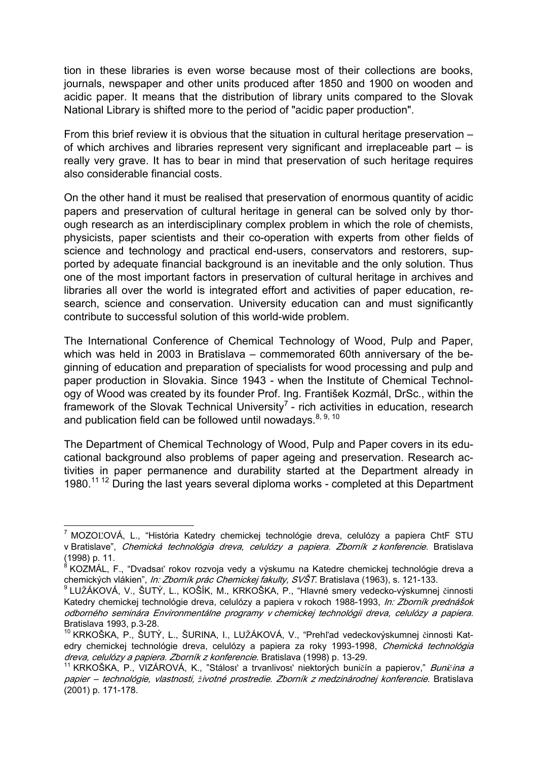tion in these libraries is even worse because most of their collections are books, journals, newspaper and other units produced after 1850 and 1900 on wooden and acidic paper. It means that the distribution of library units compared to the Slovak National Library is shifted more to the period of "acidic paper production".

From this brief review it is obvious that the situation in cultural heritage preservation – of which archives and libraries represent very significant and irreplaceable part – is really very grave. It has to bear in mind that preservation of such heritage requires also considerable financial costs.

On the other hand it must be realised that preservation of enormous quantity of acidic papers and preservation of cultural heritage in general can be solved only by thorough research as an interdisciplinary complex problem in which the role of chemists, physicists, paper scientists and their co-operation with experts from other fields of science and technology and practical end-users, conservators and restorers, supported by adequate financial background is an inevitable and the only solution. Thus one of the most important factors in preservation of cultural heritage in archives and libraries all over the world is integrated effort and activities of paper education, research, science and conservation. University education can and must significantly contribute to successful solution of this world-wide problem.

The International Conference of Chemical Technology of Wood, Pulp and Paper, which was held in 2003 in Bratislava – commemorated 60th anniversary of the beginning of education and preparation of specialists for wood processing and pulp and paper production in Slovakia. Since 1943 - when the Institute of Chemical Technology of Wood was created by its founder Prof. Ing. František Kozmál, DrSc., within the framework of the Slovak Technical University<sup>7</sup> - rich activities in education, research and publication field can be followed until nowadays.  $8, 9, 10$ 

The Department of Chemical Technology of Wood, Pulp and Paper covers in its educational background also problems of paper ageing and preservation. Research activities in paper permanence and durability started at the Department already in 1980.<sup>11 12</sup> During the last years several diploma works - completed at this Department

 $\overline{a}$ 

<sup>&</sup>lt;sup>7</sup> MOZOĽOVÁ, L., "História Katedry chemickej technológie dreva, celulózy a papiera ChtF STU v Bratislave", Chemická technológia dreva, celulózy a papiera. Zborník z konferencie. Bratislava (1998) p. 11.

<sup>&</sup>lt;sup>8</sup> KOZMÁL, F., "Dvadsať rokov rozvoja vedy a výskumu na Katedre chemickej technológie dreva a chemických vlákien", *In: Zborník prác Chemickej fakulty, SVŠT*, Bratislava (1963), s. 121-133.

<sup>&</sup>lt;sup>9</sup> LUŽÁKOVÁ, V., ŠUTÝ, L., KOŠÍK, M., KRKOŠKA, P., "Hlavné smery vedecko-výskumnej činnosti Katedry chemickej technológie dreva, celulózy a papiera v rokoch 1988-1993, In: Zborník prednášok odborného seminára Environmentálne programy v chemickej technológii dreva, celulózy a papiera. Bratislava 1993, p.3-28.

<sup>&</sup>lt;sup>10</sup> KRKOŠKA, P., ŠUTÝ, L., ŠURINA, I., LUŽÁKOVÁ, V., "Prehľad vedeckovýskumnej činnosti Katedry chemickej technológie dreva, celulózy a papiera za roky 1993-1998, Chemická technológia dreva, celulózy a papiera. Zborník z konferencie. Bratislava (1998) p. 13-29.

<sup>11</sup> KRKOŠKA, P., VIZÁROVÁ, K., "Stálosť a trvanlivosť niektorých buničín a papierov," Buni*č*ina a papier – technológie, vlastnosti, *ž*ivotné prostredie. Zborník z medzinárodnej konferencie. Bratislava (2001) p. 171-178.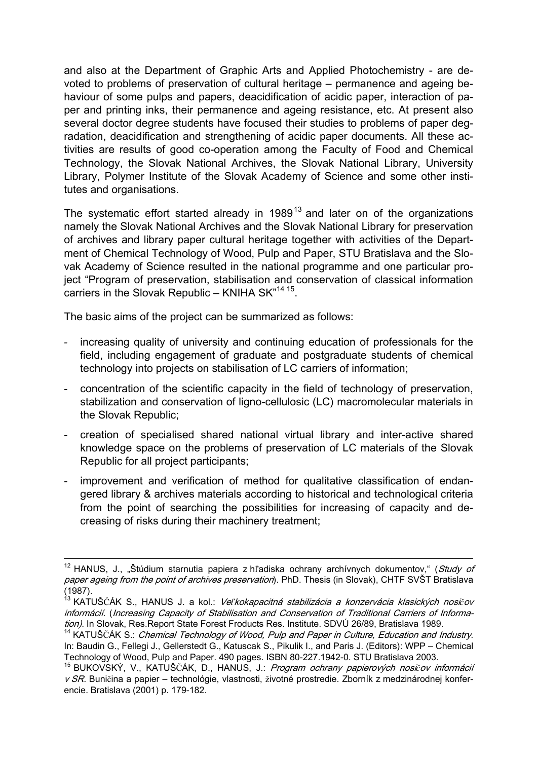and also at the Department of Graphic Arts and Applied Photochemistry - are devoted to problems of preservation of cultural heritage – permanence and ageing behaviour of some pulps and papers, deacidification of acidic paper, interaction of paper and printing inks, their permanence and ageing resistance, etc. At present also several doctor degree students have focused their studies to problems of paper degradation, deacidification and strengthening of acidic paper documents. All these activities are results of good co-operation among the Faculty of Food and Chemical Technology, the Slovak National Archives, the Slovak National Library, University Library, Polymer Institute of the Slovak Academy of Science and some other institutes and organisations.

The systematic effort started already in 1989<sup>13</sup> and later on of the organizations namely the Slovak National Archives and the Slovak National Library for preservation of archives and library paper cultural heritage together with activities of the Department of Chemical Technology of Wood, Pulp and Paper, STU Bratislava and the Slovak Academy of Science resulted in the national programme and one particular project "Program of preservation, stabilisation and conservation of classical information carriers in the Slovak Republic – KNIHA SK"14 15.

The basic aims of the project can be summarized as follows:

- ‐ increasing quality of university and continuing education of professionals for the field, including engagement of graduate and postgraduate students of chemical technology into projects on stabilisation of LC carriers of information;
- ‐ concentration of the scientific capacity in the field of technology of preservation, stabilization and conservation of ligno-cellulosic (LC) macromolecular materials in the Slovak Republic;
- ‐ creation of specialised shared national virtual library and inter-active shared knowledge space on the problems of preservation of LC materials of the Slovak Republic for all project participants;
- ‐ improvement and verification of method for qualitative classification of endangered library & archives materials according to historical and technological criteria from the point of searching the possibilities for increasing of capacity and decreasing of risks during their machinery treatment;

<sup>&</sup>lt;sup>12</sup> HANUS, J., "Štúdium starnutia papiera z hľadiska ochrany archívnych dokumentov," (*Study of* paper ageing from the point of archives preservation). PhD. Thesis (in Slovak), CHTF SVŠT Bratislava (1987).

<sup>13</sup> KATUŠČÁK S., HANUS J. a kol.: Ve*ľ*kokapacitná stabilizácia a konzervácia klasických nosi*č*ov informácií. (Increasing Capacity of Stabilisation and Conservation of Traditional Carriers of Information). In Slovak, Res.Report State Forest Froducts Res. Institute. SDVÚ 26/89, Bratislava 1989.

<sup>&</sup>lt;sup>14</sup> KATUŠČÁK S.: Chemical Technology of Wood, Pulp and Paper in Culture, Education and Industry. In: Baudin G., Fellegi J., Gellerstedt G., Katuscak S., Pikulik I., and Paris J. (Editors): WPP – Chemical Technology of Wood, Pulp and Paper. 490 pages. ISBN 80-227.1942-0. STU Bratislava 2003.

<sup>15</sup> BUKOVSKÝ, V., KATUŠČÁK, D., HANUS, J.: Program ochrany papierových nosi*č*ov informácií v SR. Buničina a papier – technológie, vlastnosti, životné prostredie. Zborník z medzinárodnej konferencie. Bratislava (2001) p. 179-182.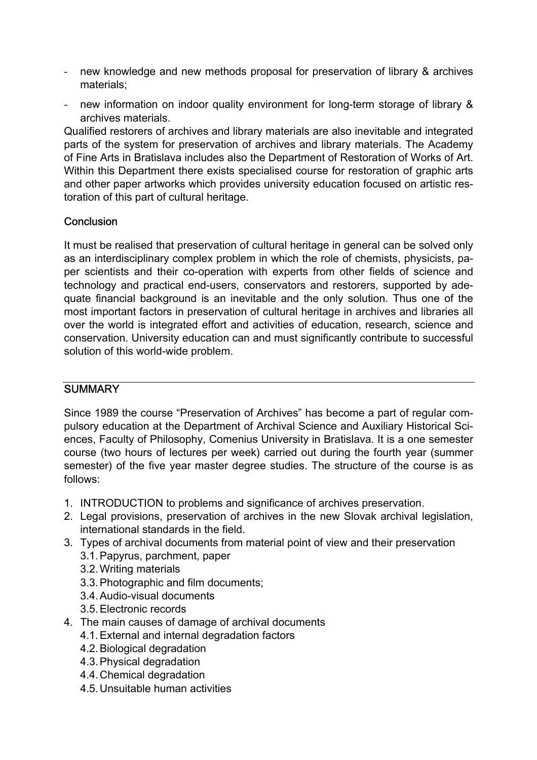- ‐ new knowledge and new methods proposal for preservation of library & archives materials;
- ‐ new information on indoor quality environment for long-term storage of library & archives materials.

Qualified restorers of archives and library materials are also inevitable and integrated parts of the system for preservation of archives and library materials. The Academy of Fine Arts in Bratislava includes also the Department of Restoration of Works of Art. Within this Department there exists specialised course for restoration of graphic arts and other paper artworks which provides university education focused on artistic restoration of this part of cultural heritage.

## **Conclusion**

It must be realised that preservation of cultural heritage in general can be solved only as an interdisciplinary complex problem in which the role of chemists, physicists, paper scientists and their co-operation with experts from other fields of science and technology and practical end-users, conservators and restorers, supported by adequate financial background is an inevitable and the only solution. Thus one of the most important factors in preservation of cultural heritage in archives and libraries all over the world is integrated effort and activities of education, research, science and conservation. University education can and must significantly contribute to successful solution of this world-wide problem.

### **SUMMARY**

Since 1989 the course "Preservation of Archives" has become a part of regular compulsory education at the Department of Archival Science and Auxiliary Historical Sciences, Faculty of Philosophy, Comenius University in Bratislava. It is a one semester course (two hours of lectures per week) carried out during the fourth year (summer semester) of the five year master degree studies. The structure of the course is as follows:

- 1. INTRODUCTION to problems and significance of archives preservation.
- 2. Legal provisions, preservation of archives in the new Slovak archival legislation, international standards in the field.
- 3. Types of archival documents from material point of view and their preservation
	- 3.1.Papyrus, parchment, paper
	- 3.2.Writing materials
	- 3.3.Photographic and film documents;
	- 3.4.Audio-visual documents
	- 3.5.Electronic records
- 4. The main causes of damage of archival documents
	- 4.1.External and internal degradation factors
	- 4.2.Biological degradation
	- 4.3.Physical degradation
	- 4.4.Chemical degradation
	- 4.5.Unsuitable human activities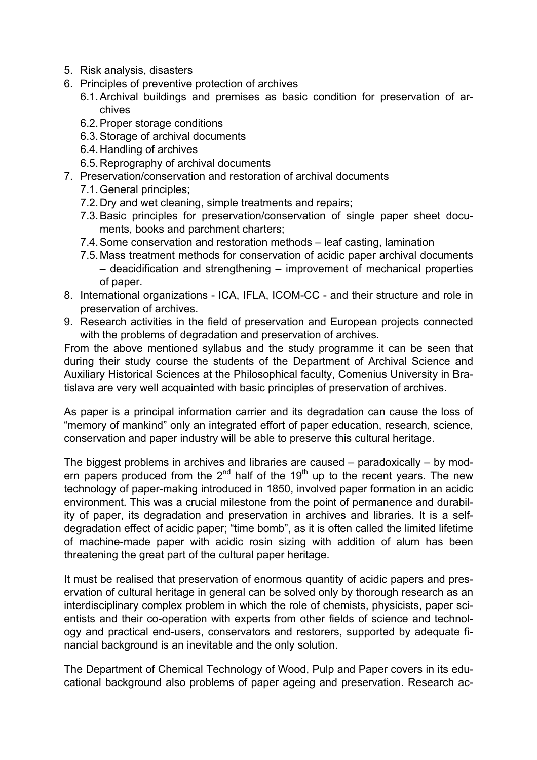- 5. Risk analysis, disasters
- 6. Principles of preventive protection of archives
	- 6.1.Archival buildings and premises as basic condition for preservation of archives
	- 6.2.Proper storage conditions
	- 6.3.Storage of archival documents
	- 6.4.Handling of archives
	- 6.5.Reprography of archival documents
- 7. Preservation/conservation and restoration of archival documents
	- 7.1.General principles;
	- 7.2.Dry and wet cleaning, simple treatments and repairs;
	- 7.3.Basic principles for preservation/conservation of single paper sheet documents, books and parchment charters;
	- 7.4.Some conservation and restoration methods leaf casting, lamination
	- 7.5.Mass treatment methods for conservation of acidic paper archival documents – deacidification and strengthening – improvement of mechanical properties of paper.
- 8. International organizations ICA, IFLA, ICOM-CC and their structure and role in preservation of archives.
- 9. Research activities in the field of preservation and European projects connected with the problems of degradation and preservation of archives.

From the above mentioned syllabus and the study programme it can be seen that during their study course the students of the Department of Archival Science and Auxiliary Historical Sciences at the Philosophical faculty, Comenius University in Bratislava are very well acquainted with basic principles of preservation of archives.

As paper is a principal information carrier and its degradation can cause the loss of "memory of mankind" only an integrated effort of paper education, research, science, conservation and paper industry will be able to preserve this cultural heritage.

The biggest problems in archives and libraries are caused – paradoxically – by modern papers produced from the  $2<sup>nd</sup>$  half of the 19<sup>th</sup> up to the recent years. The new technology of paper-making introduced in 1850, involved paper formation in an acidic environment. This was a crucial milestone from the point of permanence and durability of paper, its degradation and preservation in archives and libraries. It is a selfdegradation effect of acidic paper; "time bomb", as it is often called the limited lifetime of machine-made paper with acidic rosin sizing with addition of alum has been threatening the great part of the cultural paper heritage.

It must be realised that preservation of enormous quantity of acidic papers and preservation of cultural heritage in general can be solved only by thorough research as an interdisciplinary complex problem in which the role of chemists, physicists, paper scientists and their co-operation with experts from other fields of science and technology and practical end-users, conservators and restorers, supported by adequate financial background is an inevitable and the only solution.

The Department of Chemical Technology of Wood, Pulp and Paper covers in its educational background also problems of paper ageing and preservation. Research ac